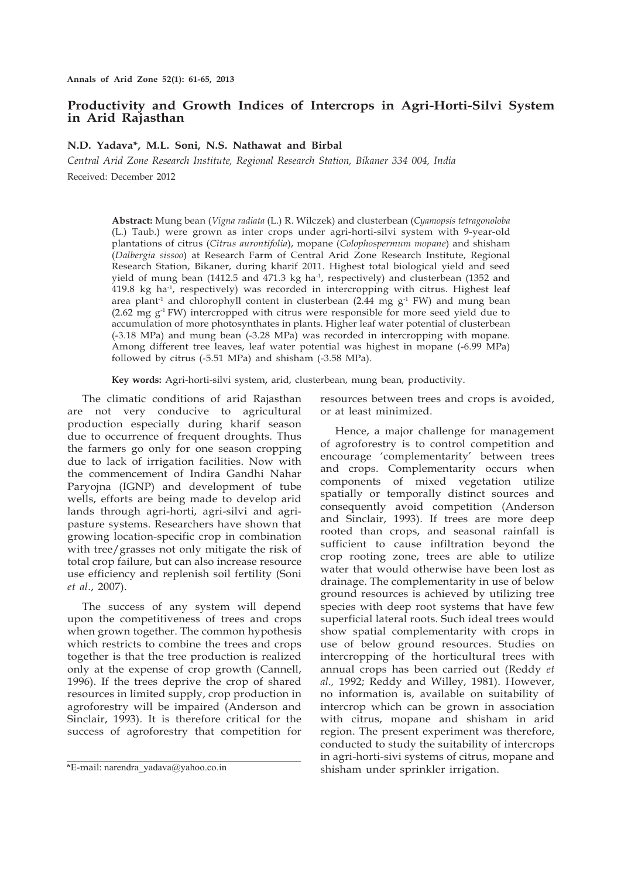# **Productivity and Growth Indices of Intercrops in Agri-Horti-Silvi System in Arid Rajasthan**

## **N.D. Yadava\*, M.L. Soni, N.S. Nathawat and Birbal**

*Central Arid Zone Research Institute, Regional Research Station, Bikaner 334 004, India* Received: December 2012

> **Abstract:** Mung bean (*Vigna radiata* (L.) R. Wilczek) and clusterbean (*Cyamopsis tetragonoloba*  (L.) Taub.) were grown as inter crops under agri-horti-silvi system with 9-year-old plantations of citrus (*Citrus aurontifolia*), mopane (*Colophospermum mopane*) and shisham (*Dalbergia sissoo*) at Research Farm of Central Arid Zone Research Institute, Regional Research Station, Bikaner, during kharif 2011. Highest total biological yield and seed yield of mung bean (1412.5 and 471.3 kg ha<sup>-1</sup>, respectively) and clusterbean (1352 and 419.8 kg ha-1, respectively) was recorded in intercropping with citrus. Highest leaf area plant<sup>-1</sup> and chlorophyll content in clusterbean (2.44 mg  $g^{-1}$  FW) and mung bean (2.62 mg  $g^{-1}$  FW) intercropped with citrus were responsible for more seed yield due to accumulation of more photosynthates in plants. Higher leaf water potential of clusterbean (-3.18 MPa) and mung bean (-3.28 MPa) was recorded in intercropping with mopane. Among different tree leaves, leaf water potential was highest in mopane (-6.99 MPa) followed by citrus (-5.51 MPa) and shisham (-3.58 MPa).

**Key words:** Agri-horti-silvi system**,** arid, clusterbean, mung bean, productivity.

The climatic conditions of arid Rajasthan are not very conducive to agricultural production especially during kharif season due to occurrence of frequent droughts. Thus the farmers go only for one season cropping due to lack of irrigation facilities. Now with the commencement of Indira Gandhi Nahar Paryojna (IGNP) and development of tube wells, efforts are being made to develop arid lands through agri-horti, agri-silvi and agripasture systems. Researchers have shown that growing location-specific crop in combination with tree/grasses not only mitigate the risk of total crop failure, but can also increase resource use efficiency and replenish soil fertility (Soni *et al*., 2007).

The success of any system will depend upon the competitiveness of trees and crops when grown together. The common hypothesis which restricts to combine the trees and crops together is that the tree production is realized only at the expense of crop growth (Cannell, 1996). If the trees deprive the crop of shared resources in limited supply, crop production in agroforestry will be impaired (Anderson and Sinclair, 1993). It is therefore critical for the success of agroforestry that competition for

resources between trees and crops is avoided, or at least minimized.

Hence, a major challenge for management of agroforestry is to control competition and encourage 'complementarity' between trees and crops. Complementarity occurs when components of mixed vegetation utilize spatially or temporally distinct sources and consequently avoid competition (Anderson and Sinclair, 1993). If trees are more deep rooted than crops, and seasonal rainfall is sufficient to cause infiltration beyond the crop rooting zone, trees are able to utilize water that would otherwise have been lost as drainage. The complementarity in use of below ground resources is achieved by utilizing tree species with deep root systems that have few superficial lateral roots. Such ideal trees would show spatial complementarity with crops in use of below ground resources. Studies on intercropping of the horticultural trees with annual crops has been carried out (Reddy *et al.,* 1992; Reddy and Willey, 1981). However, no information is, available on suitability of intercrop which can be grown in association with citrus, mopane and shisham in arid region. The present experiment was therefore, conducted to study the suitability of intercrops in agri-horti-sivi systems of citrus, mopane and shisham under sprinkler irrigation.

 $*E$ -mail: narendra\_yadava@yahoo.co.in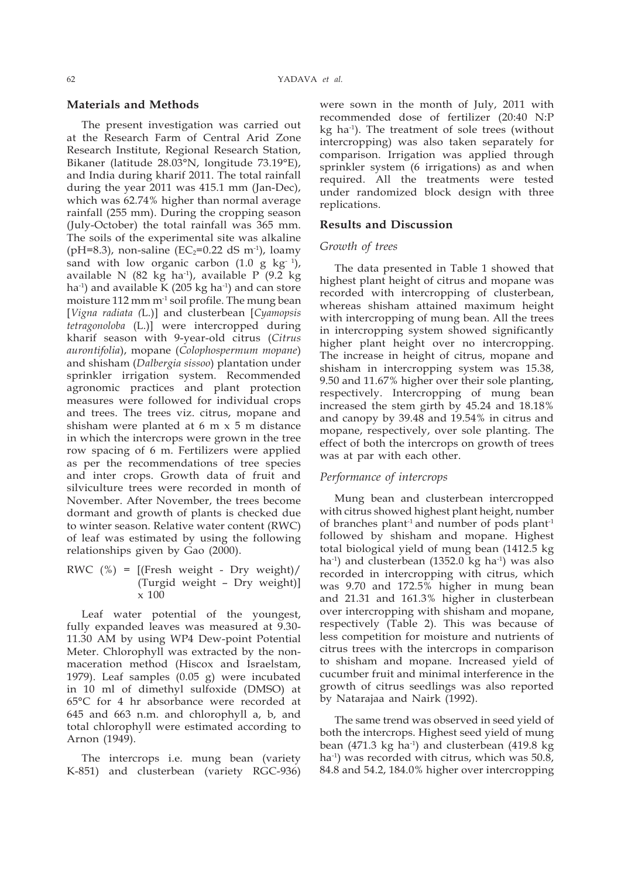#### **Materials and Methods**

The present investigation was carried out at the Research Farm of Central Arid Zone Research Institute, Regional Research Station, Bikaner (latitude 28.03°N, longitude 73.19°E), and India during kharif 2011. The total rainfall during the year 2011 was 415.1 mm (Jan-Dec), which was 62.74% higher than normal average rainfall (255 mm). During the cropping season (July-October) the total rainfall was 365 mm. The soils of the experimental site was alkaline (pH=8.3), non-saline (EC<sub>2</sub>=0.22 dS m<sup>-1</sup>), loamy sand with low organic carbon  $(1.0 \text{ g kg}^{-1})$ , available N (82 kg ha<sup>-1</sup>), available P (9.2 kg ha $^{-1}$ ) and available K (205 kg ha $^{-1}$ ) and can store moisture  $112$  mm m<sup>-1</sup> soil profile. The mung bean [*Vigna radiata (*L.)] and clusterbean [*Cyamopsis tetragonoloba* (L.)] were intercropped during kharif season with 9-year-old citrus (*Citrus aurontifolia*), mopane (*Colophospermum mopane*) and shisham (*Dalbergia sissoo*) plantation under sprinkler irrigation system. Recommended agronomic practices and plant protection measures were followed for individual crops and trees. The trees viz. citrus, mopane and shisham were planted at 6 m x 5 m distance in which the intercrops were grown in the tree row spacing of 6 m. Fertilizers were applied as per the recommendations of tree species and inter crops. Growth data of fruit and silviculture trees were recorded in month of November. After November, the trees become dormant and growth of plants is checked due to winter season. Relative water content (RWC) of leaf was estimated by using the following relationships given by Gao (2000).

RWC  $(\%) = [$ (Fresh weight - Dry weight)/ (Turgid weight – Dry weight)] x 100

Leaf water potential of the youngest, fully expanded leaves was measured at 9.30- 11.30 AM by using WP4 Dew-point Potential Meter. Chlorophyll was extracted by the nonmaceration method (Hiscox and Israelstam, 1979). Leaf samples (0.05 g) were incubated in 10 ml of dimethyl sulfoxide (DMSO) at 65°C for 4 hr absorbance were recorded at 645 and 663 n.m. and chlorophyll a, b, and total chlorophyll were estimated according to Arnon (1949).

The intercrops i.e. mung bean (variety K-851) and clusterbean (variety RGC-936)

were sown in the month of July, 2011 with recommended dose of fertilizer (20:40 N:P kg ha-1). The treatment of sole trees (without intercropping) was also taken separately for comparison. Irrigation was applied through sprinkler system (6 irrigations) as and when required. All the treatments were tested under randomized block design with three replications.

#### **Results and Discussion**

#### *Growth of trees*

The data presented in Table 1 showed that highest plant height of citrus and mopane was recorded with intercropping of clusterbean, whereas shisham attained maximum height with intercropping of mung bean. All the trees in intercropping system showed significantly higher plant height over no intercropping. The increase in height of citrus, mopane and shisham in intercropping system was 15.38, 9.50 and 11.67% higher over their sole planting, respectively. Intercropping of mung bean increased the stem girth by 45.24 and 18.18% and canopy by 39.48 and 19.54% in citrus and mopane, respectively, over sole planting. The effect of both the intercrops on growth of trees was at par with each other.

### *Performance of intercrops*

Mung bean and clusterbean intercropped with citrus showed highest plant height, number of branches plant-1 and number of pods plant-1 followed by shisham and mopane. Highest total biological yield of mung bean (1412.5 kg ha<sup>-1</sup>) and clusterbean (1352.0 kg ha<sup>-1</sup>) was also recorded in intercropping with citrus, which was 9.70 and 172.5% higher in mung bean and 21.31 and 161.3% higher in clusterbean over intercropping with shisham and mopane, respectively (Table 2). This was because of less competition for moisture and nutrients of citrus trees with the intercrops in comparison to shisham and mopane. Increased yield of cucumber fruit and minimal interference in the growth of citrus seedlings was also reported by Natarajaa and Nairk (1992).

The same trend was observed in seed yield of both the intercrops. Highest seed yield of mung bean (471.3 kg ha $^{-1}$ ) and clusterbean (419.8 kg ha<sup>-1</sup>) was recorded with citrus, which was 50.8, 84.8 and 54.2, 184.0% higher over intercropping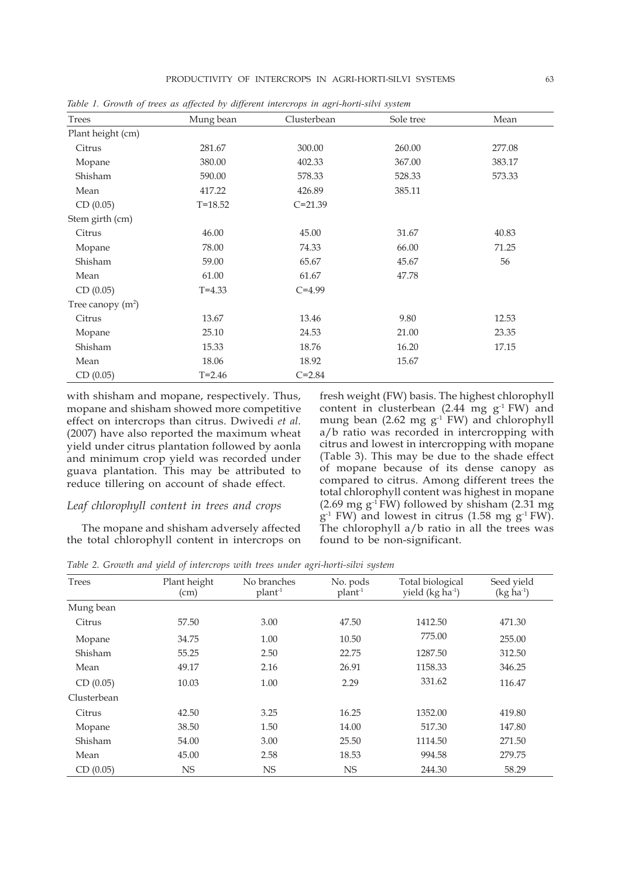| Trees               | Mung bean   | Clusterbean | Sole tree | Mean   |
|---------------------|-------------|-------------|-----------|--------|
| Plant height (cm)   |             |             |           |        |
| Citrus              | 281.67      | 300.00      | 260.00    | 277.08 |
| Mopane              | 380.00      | 402.33      | 367.00    | 383.17 |
| Shisham             | 590.00      | 578.33      | 528.33    | 573.33 |
| Mean                | 417.22      | 426.89      | 385.11    |        |
| CD(0.05)            | $T = 18.52$ | $C = 21.39$ |           |        |
| Stem girth (cm)     |             |             |           |        |
| Citrus              | 46.00       | 45.00       | 31.67     | 40.83  |
| Mopane              | 78.00       | 74.33       | 66.00     | 71.25  |
| Shisham             | 59.00       | 65.67       | 45.67     | 56     |
| Mean                | 61.00       | 61.67       | 47.78     |        |
| CD (0.05)           | $T = 4.33$  | $C = 4.99$  |           |        |
| Tree canopy $(m^2)$ |             |             |           |        |
| Citrus              | 13.67       | 13.46       | 9.80      | 12.53  |
| Mopane              | 25.10       | 24.53       | 21.00     | 23.35  |
| Shisham             | 15.33       | 18.76       | 16.20     | 17.15  |
| Mean                | 18.06       | 18.92       | 15.67     |        |
| CD (0.05)           | $T = 2.46$  | $C = 2.84$  |           |        |

*Table 1. Growth of trees as affected by different intercrops in agri-horti-silvi system* 

with shisham and mopane, respectively. Thus, mopane and shisham showed more competitive effect on intercrops than citrus. Dwivedi *et al.* (2007) have also reported the maximum wheat yield under citrus plantation followed by aonla and minimum crop yield was recorded under guava plantation. This may be attributed to reduce tillering on account of shade effect.

#### *Leaf chlorophyll content in trees and crops*

The mopane and shisham adversely affected the total chlorophyll content in intercrops on

fresh weight (FW) basis. The highest chlorophyll content in clusterbean  $(2.44 \text{ mg g}^{-1} \text{FW})$  and mung bean (2.62 mg  $g^{-1}$  FW) and chlorophyll a/b ratio was recorded in intercropping with citrus and lowest in intercropping with mopane (Table 3). This may be due to the shade effect of mopane because of its dense canopy as compared to citrus. Among different trees the total chlorophyll content was highest in mopane  $(2.69 \text{ mg g} \cdot \text{FW})$  followed by shisham  $(2.31 \text{ mg})$  $g<sup>-1</sup>$  FW) and lowest in citrus (1.58 mg  $g<sup>-1</sup>$  FW). The chlorophyll a/b ratio in all the trees was found to be non-significant.

*Table 2. Growth and yield of intercrops with trees under agri-horti-silvi system* 

| Trees       | Plant height<br>(cm) | No branches<br>plan <sup>1</sup> | No. pods<br>$plant-1$ | Total biological<br>yield (kg ha <sup>-1</sup> ) | Seed yield<br>$(kg ha-1)$ |
|-------------|----------------------|----------------------------------|-----------------------|--------------------------------------------------|---------------------------|
| Mung bean   |                      |                                  |                       |                                                  |                           |
| Citrus      | 57.50                | 3.00                             | 47.50                 | 1412.50                                          | 471.30                    |
| Mopane      | 34.75                | 1.00                             | 10.50                 | 775.00                                           | 255.00                    |
| Shisham     | 55.25                | 2.50                             | 22.75                 | 1287.50                                          | 312.50                    |
| Mean        | 49.17                | 2.16                             | 26.91                 | 1158.33                                          | 346.25                    |
| CD(0.05)    | 10.03                | 1.00                             | 2.29                  | 331.62                                           | 116.47                    |
| Clusterbean |                      |                                  |                       |                                                  |                           |
| Citrus      | 42.50                | 3.25                             | 16.25                 | 1352.00                                          | 419.80                    |
| Mopane      | 38.50                | 1.50                             | 14.00                 | 517.30                                           | 147.80                    |
| Shisham     | 54.00                | 3.00                             | 25.50                 | 1114.50                                          | 271.50                    |
| Mean        | 45.00                | 2.58                             | 18.53                 | 994.58                                           | 279.75                    |
| CD(0.05)    | <b>NS</b>            | <b>NS</b>                        | <b>NS</b>             | 244.30                                           | 58.29                     |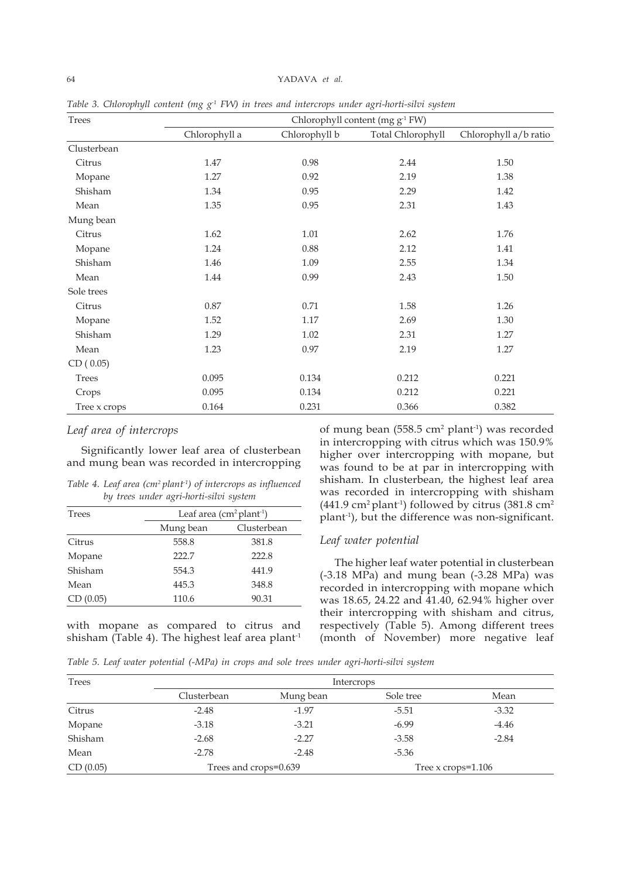| Trees        | Chlorophyll content (mg g <sup>-1</sup> FW) |               |                   |                       |
|--------------|---------------------------------------------|---------------|-------------------|-----------------------|
|              | Chlorophyll a                               | Chlorophyll b | Total Chlorophyll | Chlorophyll a/b ratio |
| Clusterbean  |                                             |               |                   |                       |
| Citrus       | 1.47                                        | 0.98          | 2.44              | 1.50                  |
| Mopane       | 1.27                                        | 0.92          | 2.19              | 1.38                  |
| Shisham      | 1.34                                        | 0.95          | 2.29              | 1.42                  |
| Mean         | 1.35                                        | 0.95          | 2.31              | 1.43                  |
| Mung bean    |                                             |               |                   |                       |
| Citrus       | 1.62                                        | 1.01          | 2.62              | 1.76                  |
| Mopane       | 1.24                                        | $0.88\,$      | 2.12              | 1.41                  |
| Shisham      | 1.46                                        | 1.09          | 2.55              | 1.34                  |
| Mean         | 1.44                                        | 0.99          | 2.43              | 1.50                  |
| Sole trees   |                                             |               |                   |                       |
| Citrus       | 0.87                                        | 0.71          | 1.58              | 1.26                  |
| Mopane       | 1.52                                        | $1.17\,$      | 2.69              | 1.30                  |
| Shisham      | 1.29                                        | $1.02\,$      | 2.31              | 1.27                  |
| Mean         | 1.23                                        | 0.97          | 2.19              | 1.27                  |
| CD(0.05)     |                                             |               |                   |                       |
| Trees        | 0.095                                       | 0.134         | 0.212             | 0.221                 |
| Crops        | 0.095                                       | 0.134         | 0.212             | 0.221                 |
| Tree x crops | 0.164                                       | 0.231         | 0.366             | 0.382                 |

*Table 3. Chlorophyll content (mg g-1 FW) in trees and intercrops under agri-horti-silvi system*

### *Leaf area of intercrops*

Significantly lower leaf area of clusterbean and mung bean was recorded in intercropping

*Table 4. Leaf area (cm2 plant-1) of intercrops as influenced by trees under agri-horti-silvi system* 

| <b>Trees</b> | Leaf area $(cm2 plant-1)$ |             |  |
|--------------|---------------------------|-------------|--|
|              | Mung bean                 | Clusterbean |  |
| Citrus       | 558.8                     | 381.8       |  |
| Mopane       | 222.7                     | 222.8       |  |
| Shisham      | 554.3                     | 441.9       |  |
| Mean         | 445.3                     | 348.8       |  |
| CD (0.05)    | 110.6                     | 90.31       |  |

with mopane as compared to citrus and shisham (Table 4). The highest leaf area plant<sup>-1</sup>

of mung bean  $(558.5 \text{ cm}^2 \text{ plant}^1)$  was recorded in intercropping with citrus which was 150.9% higher over intercropping with mopane, but was found to be at par in intercropping with shisham. In clusterbean, the highest leaf area was recorded in intercropping with shisham (441.9 cm<sup>2</sup> plant<sup>-1</sup>) followed by citrus (381.8 cm<sup>2</sup> plant-1), but the difference was non-significant.

### *Leaf water potential*

The higher leaf water potential in clusterbean (-3.18 MPa) and mung bean (-3.28 MPa) was recorded in intercropping with mopane which was 18.65, 24.22 and 41.40, 62.94% higher over their intercropping with shisham and citrus, respectively (Table 5). Among different trees (month of November) more negative leaf

*Table 5. Leaf water potential (-MPa) in crops and sole trees under agri-horti-silvi system* 

| Trees    |                       | Intercrops |                         |         |  |
|----------|-----------------------|------------|-------------------------|---------|--|
|          | Clusterbean           | Mung bean  | Sole tree               | Mean    |  |
| Citrus   | $-2.48$               | $-1.97$    | $-5.51$                 | $-3.32$ |  |
| Mopane   | $-3.18$               | $-3.21$    | $-6.99$                 | $-4.46$ |  |
| Shisham  | $-2.68$               | $-2.27$    | $-3.58$                 | $-2.84$ |  |
| Mean     | $-2.78$               | $-2.48$    | $-5.36$                 |         |  |
| CD(0.05) | Trees and crops=0.639 |            | Tree $x$ crops= $1.106$ |         |  |